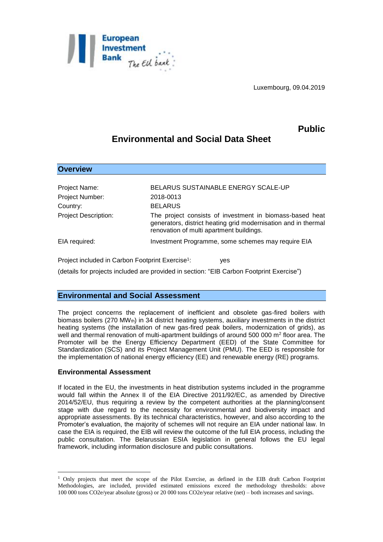

Luxembourg, 09.04.2019

# **Public**

# **Environmental and Social Data Sheet**

| <b>Overview</b>                                              |                                                                                                                                                                        |
|--------------------------------------------------------------|------------------------------------------------------------------------------------------------------------------------------------------------------------------------|
|                                                              |                                                                                                                                                                        |
| Project Name:                                                | BELARUS SUSTAINABLE ENERGY SCALE-UP                                                                                                                                    |
| Project Number:                                              | 2018-0013                                                                                                                                                              |
| Country:                                                     | <b>BELARUS</b>                                                                                                                                                         |
| <b>Project Description:</b>                                  | The project consists of investment in biomass-based heat<br>generators, district heating grid modernisation and in thermal<br>renovation of multi apartment buildings. |
| EIA required:                                                | Investment Programme, some schemes may require EIA                                                                                                                     |
| Project included in Carbon Footprint Exercise <sup>1</sup> : | yes                                                                                                                                                                    |

(details for projects included are provided in section: "EIB Carbon Footprint Exercise")

# **Environmental and Social Assessment**

The project concerns the replacement of inefficient and obsolete gas-fired boilers with biomass boilers (270 MWth) in 34 district heating systems, auxiliary investments in the district heating systems (the installation of new gas-fired peak boilers, modernization of grids), as well and thermal renovation of multi-apartment buildings of around 500 000 m<sup>2</sup> floor area. The Promoter will be the Energy Efficiency Department (EED) of the State Committee for Standardization (SCS) and its Project Management Unit (PMU). The EED is responsible for the implementation of national energy efficiency (EE) and renewable energy (RE) programs.

# **Environmental Assessment**

1

If located in the EU, the investments in heat distribution systems included in the programme would fall within the Annex II of the EIA Directive 2011/92/EC, as amended by Directive 2014/52/EU, thus requiring a review by the competent authorities at the planning/consent stage with due regard to the necessity for environmental and biodiversity impact and appropriate assessments. By its technical characteristics, however, and also according to the Promoter's evaluation, the majority of schemes will not require an EIA under national law. In case the EIA is required, the EIB will review the outcome of the full EIA process, including the public consultation. The Belarussian ESIA legislation in general follows the EU legal framework, including information disclosure and public consultations.

<sup>1</sup> Only projects that meet the scope of the Pilot Exercise, as defined in the EIB draft Carbon Footprint Methodologies, are included, provided estimated emissions exceed the methodology thresholds: above 100 000 tons CO2e/year absolute (gross) or 20 000 tons CO2e/year relative (net) – both increases and savings.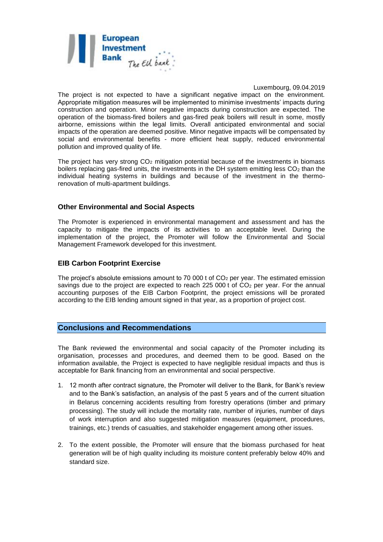

#### Luxembourg, 09.04.2019

The project is not expected to have a significant negative impact on the environment. Appropriate mitigation measures will be implemented to minimise investments' impacts during construction and operation. Minor negative impacts during construction are expected. The operation of the biomass-fired boilers and gas-fired peak boilers will result in some, mostly airborne, emissions within the legal limits. Overall anticipated environmental and social impacts of the operation are deemed positive. Minor negative impacts will be compensated by social and environmental benefits - more efficient heat supply, reduced environmental pollution and improved quality of life.

The project has very strong  $CO<sub>2</sub>$  mitigation potential because of the investments in biomass boilers replacing gas-fired units, the investments in the DH system emitting less  $CO<sub>2</sub>$  than the individual heating systems in buildings and because of the investment in the thermorenovation of multi-apartment buildings.

### **Other Environmental and Social Aspects**

The Promoter is experienced in environmental management and assessment and has the capacity to mitigate the impacts of its activities to an acceptable level. During the implementation of the project, the Promoter will follow the Environmental and Social Management Framework developed for this investment.

## **EIB Carbon Footprint Exercise**

The project's absolute emissions amount to 70 000 t of  $CO<sub>2</sub>$  per year. The estimated emission savings due to the project are expected to reach 225 000 t of  $CO<sub>2</sub>$  per year. For the annual accounting purposes of the EIB Carbon Footprint, the project emissions will be prorated according to the EIB lending amount signed in that year, as a proportion of project cost.

### **Conclusions and Recommendations**

The Bank reviewed the environmental and social capacity of the Promoter including its organisation, processes and procedures, and deemed them to be good. Based on the information available, the Project is expected to have negligible residual impacts and thus is acceptable for Bank financing from an environmental and social perspective.

- 1. 12 month after contract signature, the Promoter will deliver to the Bank, for Bank's review and to the Bank's satisfaction, an analysis of the past 5 years and of the current situation in Belarus concerning accidents resulting from forestry operations (timber and primary processing). The study will include the mortality rate, number of injuries, number of days of work interruption and also suggested mitigation measures (equipment, procedures, trainings, etc.) trends of casualties, and stakeholder engagement among other issues.
- 2. To the extent possible, the Promoter will ensure that the biomass purchased for heat generation will be of high quality including its moisture content preferably below 40% and standard size.